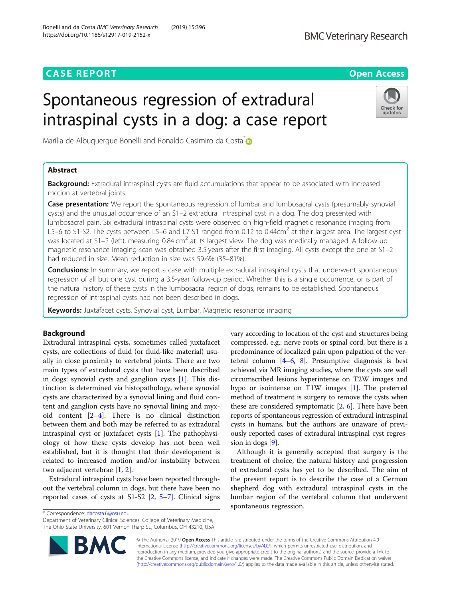# **CASE REPORT CASE ACCESS**

Check for updates

# Spontaneous regression of extradural intraspinal cysts in a dog: a case report

Marília de Albuquerque Bonelli and Ronaldo Casimiro da Costa<sup>[\\*](http://orcid.org/0000-0002-4034-9800)</sup>

# Abstract

**Background:** Extradural intraspinal cysts are fluid accumulations that appear to be associated with increased motion at vertebral joints.

Case presentation: We report the spontaneous regression of lumbar and lumbosacral cysts (presumably synovial cysts) and the unusual occurrence of an S1–2 extradural intraspinal cyst in a dog. The dog presented with lumbosacral pain. Six extradural intraspinal cysts were observed on high-field magnetic resonance imaging from L5–6 to S1-S2. The cysts between L5–6 and L7-S1 ranged from 0.12 to 0.44cm<sup>2</sup> at their largest area. The largest cyst was located at S1–2 (left), measuring 0.84 cm<sup>2</sup> at its largest view. The dog was medically managed. A follow-up magnetic resonance imaging scan was obtained 3.5 years after the first imaging. All cysts except the one at S1–2 had reduced in size. Mean reduction in size was 59.6% (35–81%).

**Conclusions:** In summary, we report a case with multiple extradural intraspinal cysts that underwent spontaneous regression of all but one cyst during a 3.5-year follow-up period. Whether this is a single occurrence, or is part of the natural history of these cysts in the lumbosacral region of dogs, remains to be established. Spontaneous regression of intraspinal cysts had not been described in dogs.

Keywords: Juxtafacet cysts, Synovial cyst, Lumbar, Magnetic resonance imaging

# Background

Extradural intraspinal cysts, sometimes called juxtafacet cysts, are collections of fluid (or fluid-like material) usually in close proximity to vertebral joints. There are two main types of extradural cysts that have been described in dogs: synovial cysts and ganglion cysts [[1\]](#page-4-0). This distinction is determined via histopathology, where synovial cysts are characterized by a synovial lining and fluid content and ganglion cysts have no synovial lining and myxoid content [[2](#page-4-0)–[4\]](#page-4-0). There is no clinical distinction between them and both may be referred to as extradural intraspinal cyst or juxtafacet cysts [[1](#page-4-0)]. The pathophysiology of how these cysts develop has not been well established, but it is thought that their development is related to increased motion and/or instability between two adjacent vertebrae [\[1](#page-4-0), [2](#page-4-0)].

Extradural intraspinal cysts have been reported throughout the vertebral column in dogs, but there have been no reported cases of cysts at S1-S2 [\[2,](#page-4-0) [5](#page-4-0)–[7\]](#page-4-0). Clinical signs

\* Correspondence: [dacosta.6@osu.edu](mailto:dacosta.6@osu.edu)

Department of Veterinary Clinical Sciences, College of Veterinary Medicine, The Ohio State University, 601 Vernon Tharp St., Columbus, OH 43210, USA



vary according to location of the cyst and structures being compressed, e.g.: nerve roots or spinal cord, but there is a predominance of localized pain upon palpation of the vertebral column  $[4-6, 8]$  $[4-6, 8]$  $[4-6, 8]$  $[4-6, 8]$  $[4-6, 8]$  $[4-6, 8]$  $[4-6, 8]$ . Presumptive diagnosis is best achieved via MR imaging studies, where the cysts are well circumscribed lesions hyperintense on T2W images and hypo or isointense on T1W images [[1](#page-4-0)]. The preferred method of treatment is surgery to remove the cysts when these are considered symptomatic  $[2, 6]$  $[2, 6]$  $[2, 6]$ . There have been reports of spontaneous regression of extradural intraspinal cysts in humans, but the authors are unaware of previously reported cases of extradural intraspinal cyst regression in dogs [[9](#page-4-0)].

Although it is generally accepted that surgery is the treatment of choice, the natural history and progression of extradural cysts has yet to be described. The aim of the present report is to describe the case of a German shepherd dog with extradural intraspinal cysts in the lumbar region of the vertebral column that underwent spontaneous regression.

© The Author(s). 2019 Open Access This article is distributed under the terms of the Creative Commons Attribution 4.0 International License [\(http://creativecommons.org/licenses/by/4.0/](http://creativecommons.org/licenses/by/4.0/)), which permits unrestricted use, distribution, and reproduction in any medium, provided you give appropriate credit to the original author(s) and the source, provide a link to the Creative Commons license, and indicate if changes were made. The Creative Commons Public Domain Dedication waiver [\(http://creativecommons.org/publicdomain/zero/1.0/](http://creativecommons.org/publicdomain/zero/1.0/)) applies to the data made available in this article, unless otherwise stated.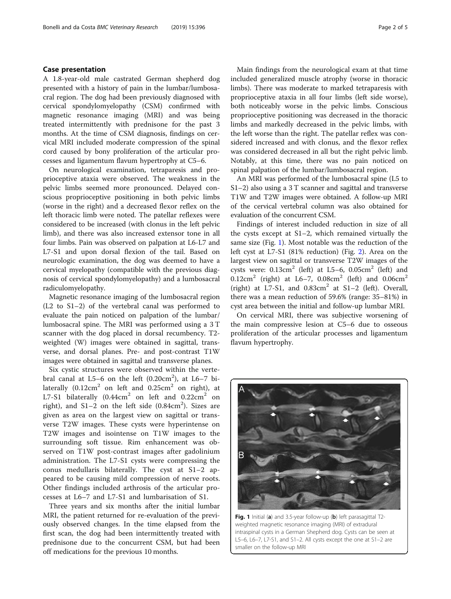# Case presentation

A 1.8-year-old male castrated German shepherd dog presented with a history of pain in the lumbar/lumbosacral region. The dog had been previously diagnosed with cervical spondylomyelopathy (CSM) confirmed with magnetic resonance imaging (MRI) and was being treated intermittently with prednisone for the past 3 months. At the time of CSM diagnosis, findings on cervical MRI included moderate compression of the spinal cord caused by bony proliferation of the articular processes and ligamentum flavum hypertrophy at C5–6.

On neurological examination, tetraparesis and proprioceptive ataxia were observed. The weakness in the pelvic limbs seemed more pronounced. Delayed conscious proprioceptive positioning in both pelvic limbs (worse in the right) and a decreased flexor reflex on the left thoracic limb were noted. The patellar reflexes were considered to be increased (with clonus in the left pelvic limb), and there was also increased extensor tone in all four limbs. Pain was observed on palpation at L6-L7 and L7-S1 and upon dorsal flexion of the tail. Based on neurologic examination, the dog was deemed to have a cervical myelopathy (compatible with the previous diagnosis of cervical spondylomyelopathy) and a lumbosacral radiculomyelopathy.

Magnetic resonance imaging of the lumbosacral region (L2 to S1–2) of the vertebral canal was performed to evaluate the pain noticed on palpation of the lumbar/ lumbosacral spine. The MRI was performed using a 3 T scanner with the dog placed in dorsal recumbency. T2 weighted (W) images were obtained in sagittal, transverse, and dorsal planes. Pre- and post-contrast T1W images were obtained in sagittal and transverse planes.

Six cystic structures were observed within the vertebral canal at  $L5-6$  on the left  $(0.20cm^2)$ , at  $L6-7$  bilaterally  $(0.12cm^2$  on left and  $0.25cm^2$  on right), at L7-S1 bilaterally  $(0.44cm^2$  on left and  $0.22cm^2$  on right), and  $S1-2$  on the left side (0.84 $cm^2$ ). Sizes are given as area on the largest view on sagittal or transverse T2W images. These cysts were hyperintense on T2W images and isointense on T1W images to the surrounding soft tissue. Rim enhancement was observed on T1W post-contrast images after gadolinium administration. The L7-S1 cysts were compressing the conus medullaris bilaterally. The cyst at S1–2 appeared to be causing mild compression of nerve roots. Other findings included arthrosis of the articular processes at L6–7 and L7-S1 and lumbarisation of S1.

Three years and six months after the initial lumbar MRI, the patient returned for re-evaluation of the previously observed changes. In the time elapsed from the first scan, the dog had been intermittently treated with prednisone due to the concurrent CSM, but had been off medications for the previous 10 months.

Main findings from the neurological exam at that time included generalized muscle atrophy (worse in thoracic limbs). There was moderate to marked tetraparesis with proprioceptive ataxia in all four limbs (left side worse), both noticeably worse in the pelvic limbs. Conscious proprioceptive positioning was decreased in the thoracic limbs and markedly decreased in the pelvic limbs, with the left worse than the right. The patellar reflex was considered increased and with clonus, and the flexor reflex was considered decreased in all but the right pelvic limb. Notably, at this time, there was no pain noticed on spinal palpation of the lumbar/lumbosacral region.

An MRI was performed of the lumbosacral spine (L5 to S1–2) also using a 3 T scanner and sagittal and transverse T1W and T2W images were obtained. A follow-up MRI of the cervical vertebral column was also obtained for evaluation of the concurrent CSM.

Findings of interest included reduction in size of all the cysts except at S1–2, which remained virtually the same size (Fig. 1). Most notable was the reduction of the left cyst at L7-S1 (81% reduction) (Fig. [2](#page-2-0)). Area on the largest view on sagittal or transverse T2W images of the cysts were:  $0.13 \text{cm}^2$  (left) at L5–6,  $0.05 \text{cm}^2$  (left) and 0.12cm<sup>2</sup> (right) at L6–7, 0.08cm<sup>2</sup> (left) and 0.06cm<sup>2</sup> (right) at L7-S1, and  $0.83 \text{cm}^2$  at S1-2 (left). Overall, there was a mean reduction of 59.6% (range: 35–81%) in cyst area between the initial and follow-up lumbar MRI.

On cervical MRI, there was subjective worsening of the main compressive lesion at C5–6 due to osseous proliferation of the articular processes and ligamentum flavum hypertrophy.



Fig. 1 Initial (a) and 3.5-year follow-up (b) left parasagittal T2weighted magnetic resonance imaging (MRI) of extradural intraspinal cysts in a German Shepherd dog. Cysts can be seen at L5–6, L6–7, L7-S1, and S1–2. All cysts except the one at S1–2 are smaller on the follow-up MRI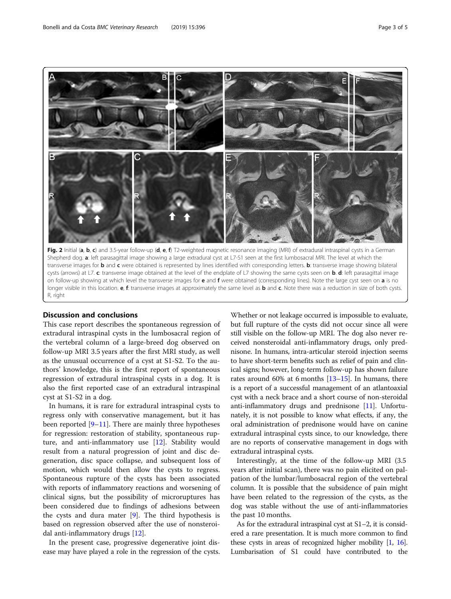<span id="page-2-0"></span>

Fig. 2 Initial (a, b, c) and 3.5-year follow-up (d, e, f) T2-weighted magnetic resonance imaging (MRI) of extradural intraspinal cysts in a German Shepherd dog. a: left parasagittal image showing a large extradural cyst at L7-S1 seen at the first lumbosacral MRI. The level at which the transverse images for **b** and c were obtained is represented by lines identified with corresponding letters. **b**: transverse image showing bilateral cysts (arrows) at L7. c: transverse image obtained at the level of the endplate of L7 showing the same cysts seen on b. d: left parasagittal image on follow-up showing at which level the transverse images for e and f were obtained (corresponding lines). Note the large cyst seen on a is no longer visible in this location. e, f: transverse images at approximately the same level as b and c. Note there was a reduction in size of both cysts. R right

# Discussion and conclusions

This case report describes the spontaneous regression of extradural intraspinal cysts in the lumbosacral region of the vertebral column of a large-breed dog observed on follow-up MRI 3.5 years after the first MRI study, as well as the unusual occurrence of a cyst at S1-S2. To the authors' knowledge, this is the first report of spontaneous regression of extradural intraspinal cysts in a dog. It is also the first reported case of an extradural intraspinal cyst at S1-S2 in a dog.

In humans, it is rare for extradural intraspinal cysts to regress only with conservative management, but it has been reported [[9](#page-4-0)–[11\]](#page-4-0). There are mainly three hypotheses for regression: restoration of stability, spontaneous rupture, and anti-inflammatory use [\[12](#page-4-0)]. Stability would result from a natural progression of joint and disc degeneration, disc space collapse, and subsequent loss of motion, which would then allow the cysts to regress. Spontaneous rupture of the cysts has been associated with reports of inflammatory reactions and worsening of clinical signs, but the possibility of microruptures has been considered due to findings of adhesions between the cysts and dura mater [[9\]](#page-4-0). The third hypothesis is based on regression observed after the use of nonsteroidal anti-inflammatory drugs [[12](#page-4-0)].

In the present case, progressive degenerative joint disease may have played a role in the regression of the cysts.

Whether or not leakage occurred is impossible to evaluate, but full rupture of the cysts did not occur since all were still visible on the follow-up MRI. The dog also never received nonsteroidal anti-inflammatory drugs, only prednisone. In humans, intra-articular steroid injection seems to have short-term benefits such as relief of pain and clinical signs; however, long-term follow-up has shown failure rates around 60% at 6 months  $[13–15]$  $[13–15]$  $[13–15]$ . In humans, there is a report of a successful management of an atlantoaxial cyst with a neck brace and a short course of non-steroidal anti-inflammatory drugs and prednisone [[11](#page-4-0)]. Unfortunately, it is not possible to know what effects, if any, the oral administration of prednisone would have on canine extradural intraspinal cysts since, to our knowledge, there are no reports of conservative management in dogs with extradural intraspinal cysts.

Interestingly, at the time of the follow-up MRI (3.5 years after initial scan), there was no pain elicited on palpation of the lumbar/lumbosacral region of the vertebral column. It is possible that the subsidence of pain might have been related to the regression of the cysts, as the dog was stable without the use of anti-inflammatories the past 10 months.

As for the extradural intraspinal cyst at S1–2, it is considered a rare presentation. It is much more common to find these cysts in areas of recognized higher mobility [\[1,](#page-4-0) [16](#page-4-0)]. Lumbarisation of S1 could have contributed to the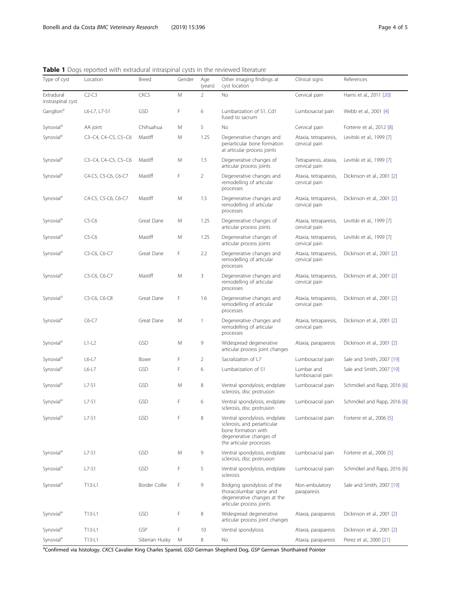<span id="page-3-0"></span>Table 1 Dogs reported with extradural intraspinal cysts in the reviewed literature

| Type of cyst                    | Location            | <b>Breed</b>   | Gender | Age<br>(years) | Other imaging findings at<br>cyst location                                                                                                 | Clinical signs                         | References                  |
|---------------------------------|---------------------|----------------|--------|----------------|--------------------------------------------------------------------------------------------------------------------------------------------|----------------------------------------|-----------------------------|
| Extradural<br>instraspinal cyst | $C2-C3$             | <b>CKCS</b>    | M      | $\overline{2}$ | No                                                                                                                                         | Cervical pain                          | Harris et al., 2011 [20]    |
| Ganglion <sup>a</sup>           | L6-L7, L7-S1        | GSD            | F      | 6              | Lumbarization of S1, Cd1<br>fused to sacrum                                                                                                | Lumbosacral pain                       | Webb et al., 2001 [4]       |
| Synovial <sup>a</sup>           | AA joint            | Chihuahua      | M      | 5              | No                                                                                                                                         | Cervical pain                          | Forterre et al., 2012 [8]   |
| Synovial <sup>a</sup>           | C3-C4, C4-C5, C5-C6 | Mastiff        | M      | 1.25           | Degenerative changes and<br>periarticular bone formation<br>at articular process joints                                                    | Ataxia, tetraparesis,<br>cervical pain | Levitski et al., 1999 [7]   |
| Synovial <sup>a</sup>           | C3-C4, C4-C5, C5-C6 | Mastiff        | M      | 1.5            | Degenerative changes of<br>articular process joints                                                                                        | Tetraparesis, ataxia,<br>cervical pain | Levitski et al., 1999 [7]   |
| Synovial <sup>a</sup>           | C4-C5, C5-C6, C6-C7 | Mastiff        | F      | $\overline{2}$ | Degenerative changes and<br>remodelling of articular<br>processes                                                                          | Ataxia, tetraparesis,<br>cervical pain | Dickinson et al., 2001 [2]  |
| Synovial <sup>a</sup>           | C4-C5, C5-C6, C6-C7 | Mastiff        | M      | 1.5            | Degenerative changes and<br>remodelling of articular<br>processes                                                                          | Ataxia, tetraparesis,<br>cervical pain | Dickinson et al., 2001 [2]  |
| Synovial <sup>a</sup>           | $C5-C6$             | Great Dane     | M      | 1.25           | Degenerative changes of<br>articular process joints                                                                                        | Ataxia, tetraparesis,<br>cervical pain | Levitski et al., 1999 [7]   |
| Synovial <sup>a</sup>           | $C5-C6$             | Mastiff        | M      | 1.25           | Degenerative changes of<br>articular process joints                                                                                        | Ataxia, tetraparesis,<br>cervical pain | Levitski et al., 1999 [7]   |
| Synovial <sup>a</sup>           | C5-C6, C6-C7        | Great Dane     | F      | 2.2            | Degenerative changes and<br>remodelling of articular<br>processes                                                                          | Ataxia, tetraparesis,<br>cervical pain | Dickinson et al., 2001 [2]  |
| Synovial <sup>a</sup>           | C5-C6, C6-C7        | Mastiff        | M      | 3              | Degenerative changes and<br>remodelling of articular<br>processes                                                                          | Ataxia, tetraparesis,<br>cervical pain | Dickinson et al., 2001 [2]  |
| Synovial <sup>a</sup>           | C5-C6, C6-C8        | Great Dane     | F      | 1.6            | Degenerative changes and<br>remodelling of articular<br>processes                                                                          | Ataxia, tetraparesis,<br>cervical pain | Dickinson et al., 2001 [2]  |
| Synovial <sup>a</sup>           | $C6-C7$             | Great Dane     | M      | $\mathbf{1}$   | Degenerative changes and<br>remodelling of articular<br>processes                                                                          | Ataxia, tetraparesis,<br>cervical pain | Dickinson et al., 2001 [2]  |
| Synovial <sup>a</sup>           | $L1-L2$             | GSD            | M      | 9              | Widespread degenerative<br>articular process joint changes                                                                                 | Ataxia, paraparesis                    | Dickinson et al., 2001 [2]  |
| Synovial <sup>a</sup>           | $L6-L7$             | Boxer          | F      | $\overline{2}$ | Sacralization of L7                                                                                                                        | Lumbosacral pain                       | Sale and Smith, 2007 [19]   |
| Synovial <sup>a</sup>           | $L6-L7$             | GSD            | F      | 6              | Lumbarization of S1                                                                                                                        | Lumbar and<br>lumbosacral pain         | Sale and Smith, 2007 [19]   |
| Synovial <sup>a</sup>           | $L7-S1$             | GSD            | M      | 8              | Ventral spondylosis, endplate<br>sclerosis, disc protrusion                                                                                | Lumbosacral pain                       | Schmökel and Rapp, 2016 [6] |
| Synovial <sup>a</sup>           | $L7-S1$             | GSD            | F      | 6              | Ventral spondylosis, endplate<br>sclerosis, disc protrusion                                                                                | Lumbosacral pain                       | Schmökel and Rapp, 2016 [6] |
| Synovial <sup>a</sup>           | L7-S1               | GSD            |        | 8              | Ventral spondylosis, endplate<br>sclerosis, and periarticular<br>bone formation with<br>degenerative changes of<br>the articular processes | Lumbosacral pain                       | Forterre et al., 2006 [5]   |
| Synovial <sup>a</sup>           | $L7-S1$             | GSD            | M      | 9              | Ventral spondylosis, endplate<br>sclerosis, disc protrusion                                                                                | Lumbosacral pain                       | Forterre et al., 2006 [5]   |
| Synovial <sup>a</sup>           | $L7-S1$             | GSD            | F      | 5              | Ventral spondylosis, endplate<br>sclerosis                                                                                                 | Lumbosacral pain                       | Schmökel and Rapp, 2016 [6] |
| Synovial <sup>a</sup>           | T13-L1              | Border Collie  | F      | 9              | Bridging spondylosis of the<br>thoracolumbar spine and<br>degenerative changes at the<br>articular process joints                          | Non-ambulatory<br>paraparesis          | Sale and Smith, 2007 [19]   |
| Synovial <sup>a</sup>           | T13-L1              | <b>GSD</b>     | F      | 8              | Widespread degenerative<br>articular process joint changes                                                                                 | Ataxia, paraparesis                    | Dickinson et al., 2001 [2]  |
| Synovial <sup>a</sup>           | T13-L1              | GSP            | F      | 10             | Ventral spondylosis                                                                                                                        | Ataxia, paraparesis                    | Dickinson et al., 2001 [2]  |
| Synovial <sup>a</sup>           | T13-L1              | Siberian Husky | M      | 8              | No                                                                                                                                         | Ataxia, paraparesis                    | Perez et al., 2000 [21]     |

<sup>a</sup>Confirmed via histology. CKCS Cavalier King Charles Spaniel, GSD German Shepherd Dog, GSP German Shorthaired Pointer